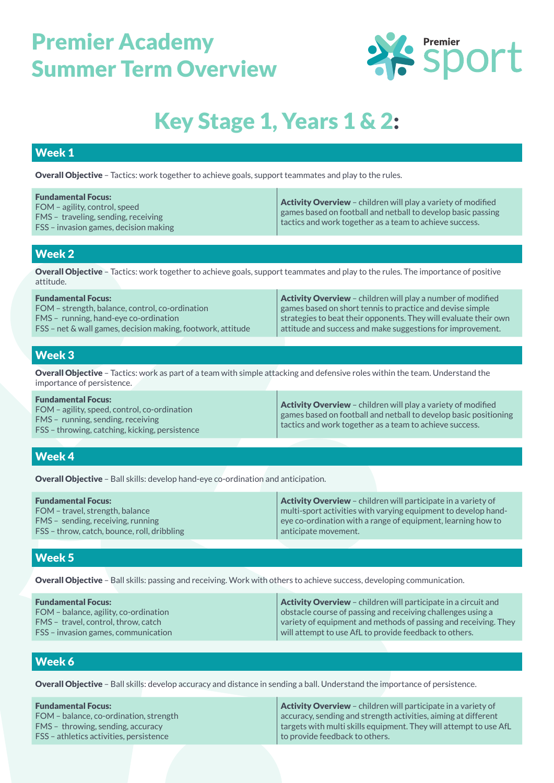

# Key Stage 1, Years 1 & 2:

#### Week 1

Overall Objective – Tactics: work together to achieve goals, support teammates and play to the rules.

| <b>Fundamental Focus:</b><br>FOM – agility, control, speed<br>FMS - traveling, sending, receiving<br>FSS – invasion games, decision making | <b>Activity Overview</b> – children will play a variety of modified<br>games based on football and netball to develop basic passing<br>tactics and work together as a team to achieve success. |
|--------------------------------------------------------------------------------------------------------------------------------------------|------------------------------------------------------------------------------------------------------------------------------------------------------------------------------------------------|
|                                                                                                                                            |                                                                                                                                                                                                |

#### Week 2

Overall Objective - Tactics: work together to achieve goals, support teammates and play to the rules. The importance of positive attitude.

| <b>Fundamental Focus:</b>                                   | <b>Activity Overview</b> - children will play a number of modified      |  |
|-------------------------------------------------------------|-------------------------------------------------------------------------|--|
| FOM – strength, balance, control, co-ordination             | $\mid$ games based on short tennis to practice and devise simple $\mid$ |  |
| FMS - running, hand-eye co-ordination                       | strategies to beat their opponents. They will evaluate their own        |  |
| FSS – net & wall games, decision making, footwork, attitude | attitude and success and make suggestions for improvement.              |  |
|                                                             |                                                                         |  |

#### Week 3

Overall Objective - Tactics: work as part of a team with simple attacking and defensive roles within the team. Understand the importance of persistence.

| <b>Fundamental Focus:</b><br>FOM – agility, speed, control, co-ordination<br>FMS - running, sending, receiving<br>FSS – throwing, catching, kicking, persistence | <b>Activity Overview</b> – children will play a variety of modified<br>games based on football and netball to develop basic positioning<br>tactics and work together as a team to achieve success. |
|------------------------------------------------------------------------------------------------------------------------------------------------------------------|----------------------------------------------------------------------------------------------------------------------------------------------------------------------------------------------------|
|------------------------------------------------------------------------------------------------------------------------------------------------------------------|----------------------------------------------------------------------------------------------------------------------------------------------------------------------------------------------------|

### Week 4

Overall Objective – Ball skills: develop hand-eye co-ordination and anticipation.

| <b>Fundamental Focus:</b>                                            | <b>Activity Overview</b> – children will participate in a variety of                                                           |
|----------------------------------------------------------------------|--------------------------------------------------------------------------------------------------------------------------------|
| FOM – travel, strength, balance<br>FMS – sending, receiving, running | multi-sport activities with varying equipment to develop hand-<br>eye co-ordination with a range of equipment, learning how to |
| FSS – throw, catch, bounce, roll, dribbling                          | anticipate movement.                                                                                                           |

#### Week 5

Overall Objective – Ball skills: passing and receiving. Work with others to achieve success, developing communication.

| <b>Fundamental Focus:</b>             | $\vert$ <b>Activity Overview</b> – children will participate in a circuit and |  |
|---------------------------------------|-------------------------------------------------------------------------------|--|
| FOM - balance, agility, co-ordination | $\vert$ obstacle course of passing and receiving challenges using a           |  |
| FMS - travel, control, throw, catch   | $\mid$ variety of equipment and methods of passing and receiving. They        |  |
| FSS – invasion games, communication   | will attempt to use AfL to provide feedback to others.                        |  |

#### Week 6

Overall Objective – Ball skills: develop accuracy and distance in sending a ball. Understand the importance of persistence.

| <b>Fundamental Focus:</b>               | <b>Activity Overview</b> – children will participate in a variety of     |  |
|-----------------------------------------|--------------------------------------------------------------------------|--|
| FOM - balance, co-ordination, strength  | $\mid$ accuracy, sending and strength activities, aiming at different    |  |
| FMS – throwing, sending, accuracy       | $\mid$ targets with multi skills equipment. They will attempt to use AfL |  |
| FSS – athletics activities, persistence | to provide feedback to others.                                           |  |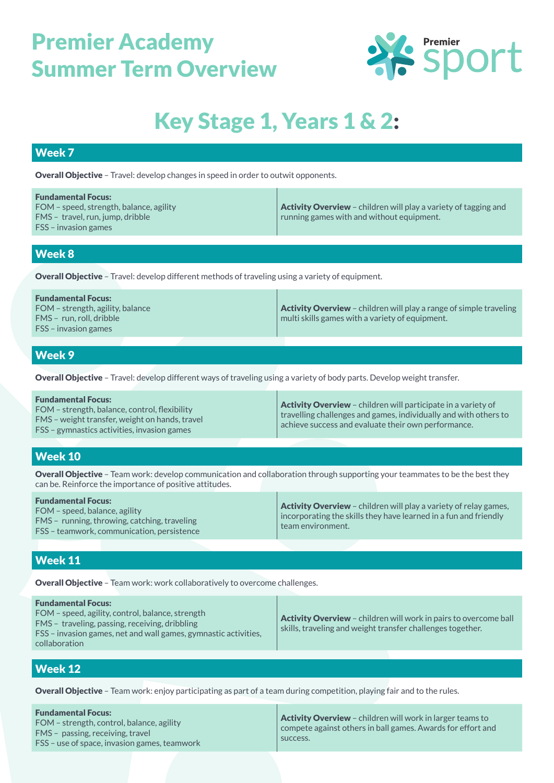

# Key Stage 1, Years 1 & 2:

#### Week 7

Overall Objective – Travel: develop changes in speed in order to outwit opponents.

| <b>Fundamental Focus:</b><br>FOM - speed, strength, balance, agility<br>FMS - travel, run, jump, dribble<br>$FSS - invasion games$ | Activity Overview - children will play a variety of tagging and<br>running games with and without equipment. |
|------------------------------------------------------------------------------------------------------------------------------------|--------------------------------------------------------------------------------------------------------------|
|                                                                                                                                    |                                                                                                              |
| Week 8                                                                                                                             |                                                                                                              |

Overall Objective – Travel: develop different methods of traveling using a variety of equipment.

| <b>Fundamental Focus:</b><br>FOM – strength, agility, balance<br>$FMS - run$ run. roll. dribble<br>$FSS - invasion games$ | <b>Activity Overview</b> – children will play a range of simple traveling<br>$^{\prime}$ multi skills games with a variety of equipment. $^{\prime}$ |
|---------------------------------------------------------------------------------------------------------------------------|------------------------------------------------------------------------------------------------------------------------------------------------------|
|                                                                                                                           |                                                                                                                                                      |

#### Week 9

Overall Objective – Travel: develop different ways of traveling using a variety of body parts. Develop weight transfer.

| <b>Fundamental Focus:</b><br>FOM – strength, balance, control, flexibility<br>FMS – weight transfer, weight on hands, travel<br>FSS – gymnastics activities, invasion games | <b>Activity Overview</b> - children will participate in a variety of<br>$\vert$ travelling challenges and games, individually and with others to<br>achieve success and evaluate their own performance. |
|-----------------------------------------------------------------------------------------------------------------------------------------------------------------------------|---------------------------------------------------------------------------------------------------------------------------------------------------------------------------------------------------------|
|-----------------------------------------------------------------------------------------------------------------------------------------------------------------------------|---------------------------------------------------------------------------------------------------------------------------------------------------------------------------------------------------------|

#### Week 10

Overall Objective – Team work: develop communication and collaboration through supporting your teammates to be the best they can be. Reinforce the importance of positive attitudes.

| FSS – teamwork, communication, persistence |
|--------------------------------------------|
|--------------------------------------------|

#### Week 11

Overall Objective - Team work: work collaboratively to overcome challenges.

| <b>Fundamental Focus:</b><br>FOM – speed, agility, control, balance, strength<br>FMS - traveling, passing, receiving, dribbling<br>FSS – invasion games, net and wall games, gymnastic activities,<br>collaboration | Activity Overview - children will work in pairs to overcome ball<br>skills, traveling and weight transfer challenges together. |
|---------------------------------------------------------------------------------------------------------------------------------------------------------------------------------------------------------------------|--------------------------------------------------------------------------------------------------------------------------------|
|                                                                                                                                                                                                                     |                                                                                                                                |

#### Week 12

Overall Objective - Team work: enjoy participating as part of a team during competition, playing fair and to the rules.

| <b>Fundamental Focus:</b><br>FOM – strength, control, balance, agility<br>FMS - passing, receiving, travel | success. | <b>Activity Overview</b> – children will work in larger teams to<br>compete against others in ball games. Awards for effort and |
|------------------------------------------------------------------------------------------------------------|----------|---------------------------------------------------------------------------------------------------------------------------------|
| <b>FSS</b> – use of space, invasion games, teamwork                                                        |          |                                                                                                                                 |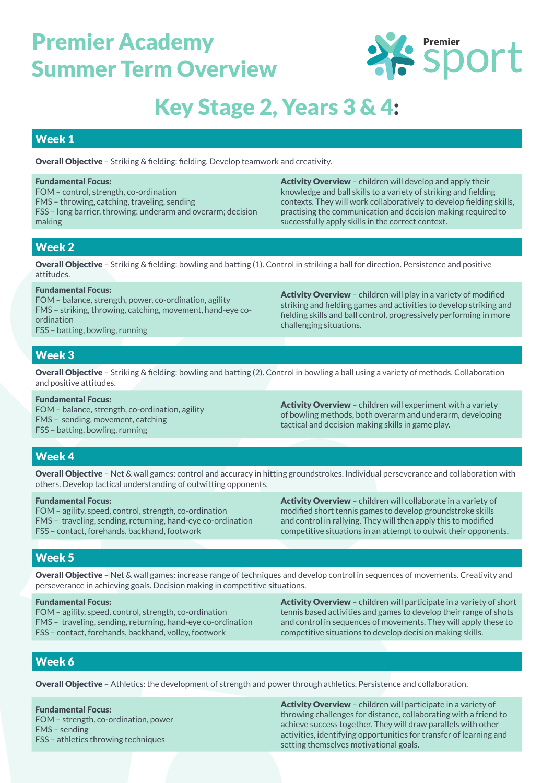

# Key Stage 2, Years 3 & 4:

#### Week 1

Overall Objective – Striking & fielding: fielding. Develop teamwork and creativity.

| <b>Fundamental Focus:</b><br>FOM - control, strength, co-ordination<br>FMS - throwing, catching, traveling, sending<br>FSS – long barrier, throwing: underarm and overarm; decision<br>making | <b>Activity Overview</b> - children will develop and apply their<br>knowledge and ball skills to a variety of striking and fielding<br>contexts. They will work collaboratively to develop fielding skills,<br>practising the communication and decision making required to<br>successfully apply skills in the correct context. |
|-----------------------------------------------------------------------------------------------------------------------------------------------------------------------------------------------|----------------------------------------------------------------------------------------------------------------------------------------------------------------------------------------------------------------------------------------------------------------------------------------------------------------------------------|
|                                                                                                                                                                                               |                                                                                                                                                                                                                                                                                                                                  |
| <b>Week 2</b>                                                                                                                                                                                 |                                                                                                                                                                                                                                                                                                                                  |
| <b>Overall Objective</b> – Striking & fielding: bowling and batting (1). Control in striking a ball for direction. Persistence and positive<br>attitudes.                                     |                                                                                                                                                                                                                                                                                                                                  |
| Euro de recepto LEs error                                                                                                                                                                     |                                                                                                                                                                                                                                                                                                                                  |

| <b>Fundamental Focus:</b><br>FOM – balance, strength, power, co-ordination, agility<br>FMS – striking, throwing, catching, movement, hand-eye co-<br>ordination<br>FSS – batting, bowling, running | <b>Activity Overview</b> – children will play in a variety of modified<br>striking and fielding games and activities to develop striking and<br>fielding skills and ball control, progressively performing in more<br>challenging situations. |
|----------------------------------------------------------------------------------------------------------------------------------------------------------------------------------------------------|-----------------------------------------------------------------------------------------------------------------------------------------------------------------------------------------------------------------------------------------------|
|                                                                                                                                                                                                    |                                                                                                                                                                                                                                               |

### Week 3

Overall Objective – Striking & fielding: bowling and batting (2). Control in bowling a ball using a variety of methods. Collaboration and positive attitudes.

| <b>Fundamental Focus:</b><br>FOM – balance, strength, co-ordination, agility<br>FMS – sending, movement, catching<br>FSS – batting, bowling, running | <b>Activity Overview</b> – children will experiment with a variety<br>of bowling methods, both overarm and underarm, developing<br>$\mid$ tactical and decision making skills in game play. |
|------------------------------------------------------------------------------------------------------------------------------------------------------|---------------------------------------------------------------------------------------------------------------------------------------------------------------------------------------------|
|------------------------------------------------------------------------------------------------------------------------------------------------------|---------------------------------------------------------------------------------------------------------------------------------------------------------------------------------------------|

### Week 4

Overall Objective – Net & wall games: control and accuracy in hitting groundstrokes. Individual perseverance and collaboration with others. Develop tactical understanding of outwitting opponents.

| <b>Fundamental Focus:</b>                                   | <b>Activity Overview</b> - children will collaborate in a variety of |
|-------------------------------------------------------------|----------------------------------------------------------------------|
| FOM - agility, speed, control, strength, co-ordination      | modified short tennis games to develop groundstroke skills           |
| FMS - traveling, sending, returning, hand-eye co-ordination | and control in rallying. They will then apply this to modified       |
| FSS – contact, forehands, backhand, footwork                | competitive situations in an attempt to outwit their opponents.      |

### Week 5

Overall Objective – Net & wall games: increase range of techniques and develop control in sequences of movements. Creativity and perseverance in achieving goals. Decision making in competitive situations.

| <b>Fundamental Focus:</b>                                   | <b>Activity Overview</b> - children will participate in a variety of short |
|-------------------------------------------------------------|----------------------------------------------------------------------------|
| FOM - agility, speed, control, strength, co-ordination      | $\mid$ tennis based activities and games to develop their range of shots   |
| FMS – traveling, sending, returning, hand-eye co-ordination | and control in sequences of movements. They will apply these to            |
| FSS – contact, forehands, backhand, volley, footwork        | $\mid$ competitive situations to develop decision making skills.           |

### Week 6

Overall Objective – Athletics: the development of strength and power through athletics. Persistence and collaboration.

Fundamental Focus: FOM – strength, co-ordination, power FMS – sending FSS – athletics throwing techniques Activity Overview - children will participate in a variety of throwing challenges for distance, collaborating with a friend to achieve success together. They will draw parallels with other activities, identifying opportunities for transfer of learning and setting themselves motivational goals.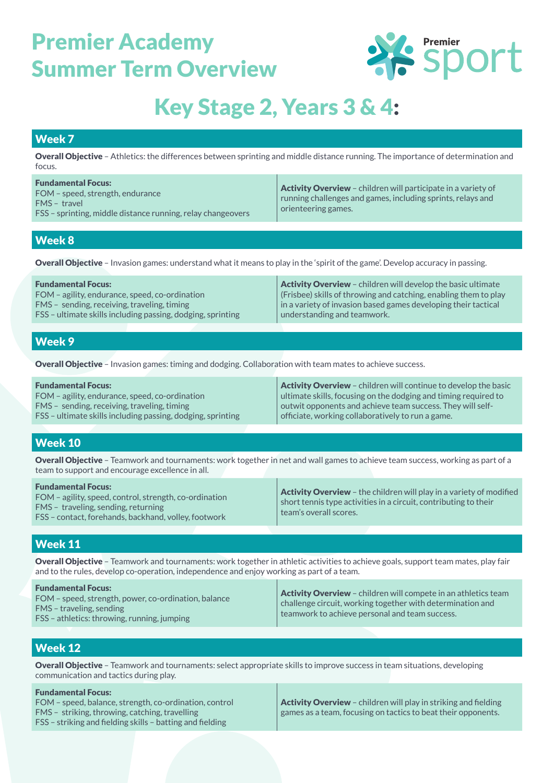

# Key Stage 2, Years 3 & 4:

#### Week 7

Overall Objective – Athletics: the differences between sprinting and middle distance running. The importance of determination and focus.

| <b>Fundamental Focus:</b><br>FOM – speed, strength, endurance<br>FMS - travel<br>FSS – sprinting, middle distance running, relay changeovers | <b>Activity Overview</b> – children will participate in a variety of<br>running challenges and games, including sprints, relays and<br>orienteering games. |
|----------------------------------------------------------------------------------------------------------------------------------------------|------------------------------------------------------------------------------------------------------------------------------------------------------------|
|----------------------------------------------------------------------------------------------------------------------------------------------|------------------------------------------------------------------------------------------------------------------------------------------------------------|

#### Week 8

Overall Objective – Invasion games: understand what it means to play in the 'spirit of the game'. Develop accuracy in passing.

| <b>Fundamental Focus:</b>                                   | <b>Activity Overview</b> – children will develop the basic ultimate      |
|-------------------------------------------------------------|--------------------------------------------------------------------------|
| FOM – agility, endurance, speed, co-ordination              | $\vert$ (Frisbee) skills of throwing and catching, enabling them to play |
| FMS - sending, receiving, traveling, timing                 | $\mid$ in a variety of invasion based games developing their tactical    |
| FSS – ultimate skills including passing, dodging, sprinting | understanding and teamwork.                                              |
|                                                             |                                                                          |

### Week 9

Overall Objective – Invasion games: timing and dodging. Collaboration with team mates to achieve success.

| <b>Fundamental Focus:</b>                                   | <b>Activity Overview</b> - children will continue to develop the basic          |
|-------------------------------------------------------------|---------------------------------------------------------------------------------|
| FOM – agility, endurance, speed, co-ordination              | $\vert$ ultimate skills, focusing on the dodging and timing required to $\vert$ |
| FMS – sending, receiving, traveling, timing                 | outwit opponents and achieve team success. They will self-                      |
| FSS – ultimate skills including passing, dodging, sprinting | officiate, working collaboratively to run a game.                               |

### Week 10

Overall Objective – Teamwork and tournaments: work together in net and wall games to achieve team success, working as part of a team to support and encourage excellence in all.

| <b>Fundamental Focus:</b><br>FOM - agility, speed, control, strength, co-ordination<br>FMS - traveling, sending, returning<br>FSS – contact, forehands, backhand, volley, footwork | <b>Activity Overview</b> - the children will play in a variety of modified<br>$\mid$ short tennis type activities in a circuit, contributing to their $\mid$<br>team's overall scores. |
|------------------------------------------------------------------------------------------------------------------------------------------------------------------------------------|----------------------------------------------------------------------------------------------------------------------------------------------------------------------------------------|
|------------------------------------------------------------------------------------------------------------------------------------------------------------------------------------|----------------------------------------------------------------------------------------------------------------------------------------------------------------------------------------|

### Week 11

Overall Objective - Teamwork and tournaments: work together in athletic activities to achieve goals, support team mates, play fair and to the rules, develop co-operation, independence and enjoy working as part of a team.

### Week 12

Overall Objective – Teamwork and tournaments: select appropriate skills to improve success in team situations, developing communication and tactics during play.

| <b>Fundamental Focus:</b>                                                                                   |                                                                        |
|-------------------------------------------------------------------------------------------------------------|------------------------------------------------------------------------|
| FOM – speed, balance, strength, co-ordination, control                                                      | <b>Activity Overview</b> – children will play in striking and fielding |
| FMS - striking, throwing, catching, travelling<br>FSS – striking and fielding skills – batting and fielding | games as a team, focusing on tactics to beat their opponents.          |
|                                                                                                             |                                                                        |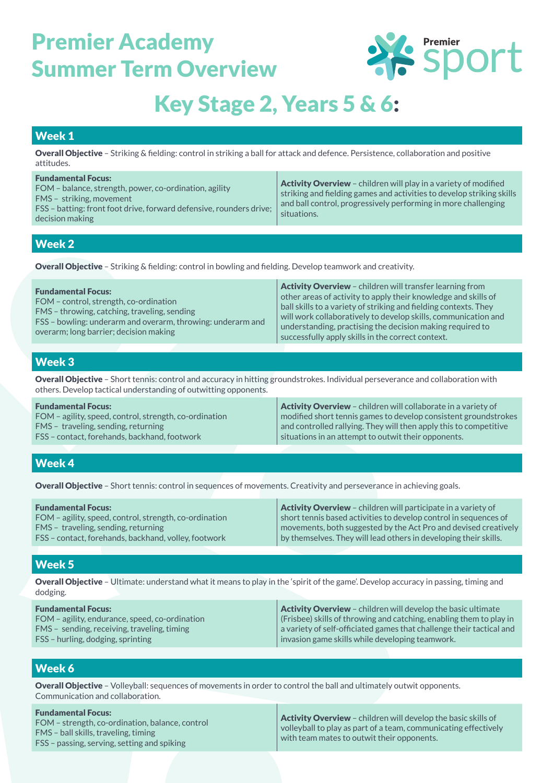

### Key Stage 2, Years 5 & 6:

### Week 1

Overall Objective – Striking & fielding: control in striking a ball for attack and defence. Persistence, collaboration and positive attitudes.

| <b>Fundamental Focus:</b><br>FOM – balance, strength, power, co-ordination, agility<br>FMS - striking, movement<br>FSS – batting: front foot drive, forward defensive, rounders drive;<br>decision making | <b>Activity Overview</b> - children will play in a variety of modified<br>striking and fielding games and activities to develop striking skills<br>and ball control, progressively performing in more challenging<br>situations. |
|-----------------------------------------------------------------------------------------------------------------------------------------------------------------------------------------------------------|----------------------------------------------------------------------------------------------------------------------------------------------------------------------------------------------------------------------------------|
|                                                                                                                                                                                                           |                                                                                                                                                                                                                                  |

### Week 2

Overall Objective – Striking & fielding: control in bowling and fielding. Develop teamwork and creativity.

| <b>Fundamental Focus:</b><br>FOM – control, strength, co-ordination<br>FMS – throwing, catching, traveling, sending<br>FSS - bowling: underarm and overarm, throwing: underarm and<br>overarm; long barrier; decision making | <b>Activity Overview</b> – children will transfer learning from<br>other areas of activity to apply their knowledge and skills of<br>ball skills to a variety of striking and fielding contexts. They<br>will work collaboratively to develop skills, communication and<br>understanding, practising the decision making required to<br>successfully apply skills in the correct context. |
|------------------------------------------------------------------------------------------------------------------------------------------------------------------------------------------------------------------------------|-------------------------------------------------------------------------------------------------------------------------------------------------------------------------------------------------------------------------------------------------------------------------------------------------------------------------------------------------------------------------------------------|
|------------------------------------------------------------------------------------------------------------------------------------------------------------------------------------------------------------------------------|-------------------------------------------------------------------------------------------------------------------------------------------------------------------------------------------------------------------------------------------------------------------------------------------------------------------------------------------------------------------------------------------|

### Week 3

Overall Objective – Short tennis: control and accuracy in hitting groundstrokes. Individual perseverance and collaboration with others. Develop tactical understanding of outwitting opponents.

| <b>Fundamental Focus:</b>                              | <b>Activity Overview</b> - children will collaborate in a variety of            |
|--------------------------------------------------------|---------------------------------------------------------------------------------|
| FOM – agility, speed, control, strength, co-ordination | modified short tennis games to develop consistent groundstrokes                 |
| FMS - traveling, sending, returning                    | $\mid$ and controlled rallying. They will then apply this to competitive $\mid$ |
| FSS – contact. forehands, backhand, footwork           | $\overline{ }$ situations in an attempt to outwit their opponents.              |

### Week 4

Overall Objective – Short tennis: control in sequences of movements. Creativity and perseverance in achieving goals.

| <b>Fundamental Focus:</b>                              | $\mid$ <b>Activity Overview</b> – children will participate in a variety of |
|--------------------------------------------------------|-----------------------------------------------------------------------------|
| FOM – agility, speed, control, strength, co-ordination | short tennis based activities to develop control in sequences of            |
| FMS - traveling, sending, returning                    | movements, both suggested by the Act Pro and devised creatively             |
| FSS – contact, forehands, backhand, volley, footwork   | by themselves. They will lead others in developing their skills.            |

### Week 5

Overall Objective – Ultimate: understand what it means to play in the 'spirit of the game'. Develop accuracy in passing, timing and dodging.

| <b>Fundamental Focus:</b>                      | <b>Activity Overview</b> - children will develop the basic ultimate         |
|------------------------------------------------|-----------------------------------------------------------------------------|
| FOM – agility, endurance, speed, co-ordination | (Frisbee) skills of throwing and catching, enabling them to play in         |
| FMS - sending, receiving, traveling, timing    | $\mid$ a variety of self-officiated games that challenge their tactical and |
| FSS – hurling, dodging, sprinting              | $\mid$ invasion game skills while developing teamwork.                      |

### Week 6

Overall Objective – Volleyball: sequences of movements in order to control the ball and ultimately outwit opponents. Communication and collaboration.